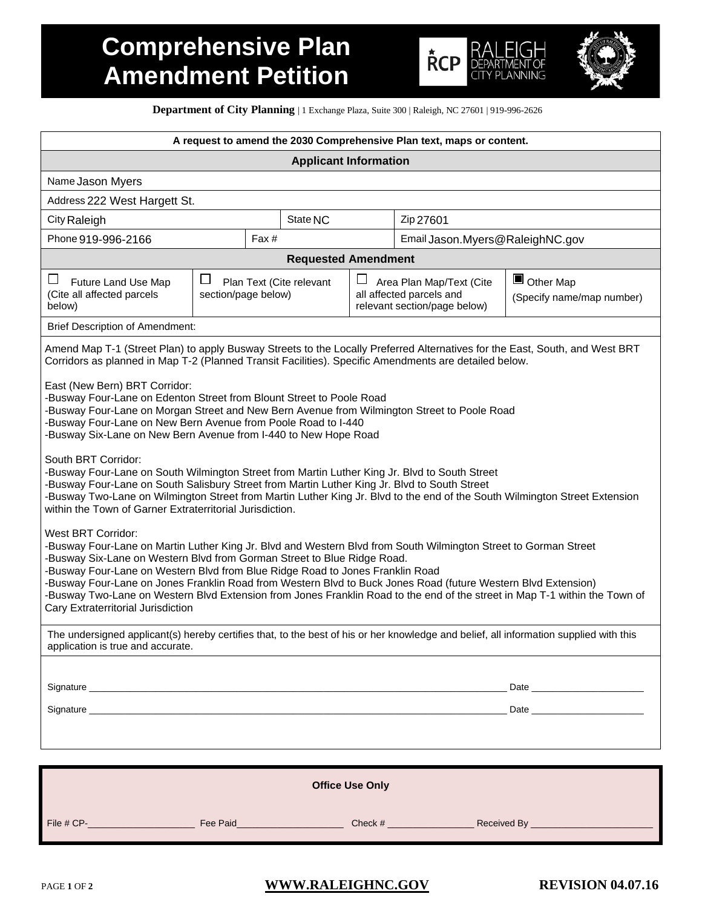# **Comprehensive Plan Amendment Petition**





**Department of City Planning** | 1 Exchange Plaza, Suite 300 | Raleigh, NC 27601 | 919-996-2626

|                                                                                                                                                                                                                                                                                                                                                                                                                                                                                                                                                                                                                                                                                                                                                                                                                                                                                                     | A request to amend the 2030 Comprehensive Plan text, maps or content. |                          |  |                                                                                      |                                             |  |  |  |
|-----------------------------------------------------------------------------------------------------------------------------------------------------------------------------------------------------------------------------------------------------------------------------------------------------------------------------------------------------------------------------------------------------------------------------------------------------------------------------------------------------------------------------------------------------------------------------------------------------------------------------------------------------------------------------------------------------------------------------------------------------------------------------------------------------------------------------------------------------------------------------------------------------|-----------------------------------------------------------------------|--------------------------|--|--------------------------------------------------------------------------------------|---------------------------------------------|--|--|--|
| <b>Applicant Information</b>                                                                                                                                                                                                                                                                                                                                                                                                                                                                                                                                                                                                                                                                                                                                                                                                                                                                        |                                                                       |                          |  |                                                                                      |                                             |  |  |  |
| Name Jason Myers                                                                                                                                                                                                                                                                                                                                                                                                                                                                                                                                                                                                                                                                                                                                                                                                                                                                                    |                                                                       |                          |  |                                                                                      |                                             |  |  |  |
| Address 222 West Hargett St.                                                                                                                                                                                                                                                                                                                                                                                                                                                                                                                                                                                                                                                                                                                                                                                                                                                                        |                                                                       |                          |  |                                                                                      |                                             |  |  |  |
| City Raleigh                                                                                                                                                                                                                                                                                                                                                                                                                                                                                                                                                                                                                                                                                                                                                                                                                                                                                        |                                                                       | State NC                 |  | Zip 27601                                                                            |                                             |  |  |  |
| Phone 919-996-2166                                                                                                                                                                                                                                                                                                                                                                                                                                                                                                                                                                                                                                                                                                                                                                                                                                                                                  | Fax#                                                                  |                          |  | Email Jason. Myers@RaleighNC.gov                                                     |                                             |  |  |  |
| <b>Requested Amendment</b>                                                                                                                                                                                                                                                                                                                                                                                                                                                                                                                                                                                                                                                                                                                                                                                                                                                                          |                                                                       |                          |  |                                                                                      |                                             |  |  |  |
| ப<br>Future Land Use Map<br>(Cite all affected parcels<br>below)                                                                                                                                                                                                                                                                                                                                                                                                                                                                                                                                                                                                                                                                                                                                                                                                                                    | ⊔<br>section/page below)                                              | Plan Text (Cite relevant |  | Area Plan Map/Text (Cite<br>all affected parcels and<br>relevant section/page below) | Щ<br>Other Map<br>(Specify name/map number) |  |  |  |
| <b>Brief Description of Amendment:</b>                                                                                                                                                                                                                                                                                                                                                                                                                                                                                                                                                                                                                                                                                                                                                                                                                                                              |                                                                       |                          |  |                                                                                      |                                             |  |  |  |
| Amend Map T-1 (Street Plan) to apply Busway Streets to the Locally Preferred Alternatives for the East, South, and West BRT<br>Corridors as planned in Map T-2 (Planned Transit Facilities). Specific Amendments are detailed below.                                                                                                                                                                                                                                                                                                                                                                                                                                                                                                                                                                                                                                                                |                                                                       |                          |  |                                                                                      |                                             |  |  |  |
| East (New Bern) BRT Corridor:<br>-Busway Four-Lane on Edenton Street from Blount Street to Poole Road<br>-Busway Four-Lane on Morgan Street and New Bern Avenue from Wilmington Street to Poole Road<br>-Busway Four-Lane on New Bern Avenue from Poole Road to I-440<br>-Busway Six-Lane on New Bern Avenue from I-440 to New Hope Road<br>South BRT Corridor:<br>-Busway Four-Lane on South Wilmington Street from Martin Luther King Jr. Blvd to South Street<br>-Busway Four-Lane on South Salisbury Street from Martin Luther King Jr. Blvd to South Street<br>-Busway Two-Lane on Wilmington Street from Martin Luther King Jr. Blvd to the end of the South Wilmington Street Extension<br>within the Town of Garner Extraterritorial Jurisdiction.<br>West BRT Corridor:<br>-Busway Four-Lane on Martin Luther King Jr. Blvd and Western Blvd from South Wilmington Street to Gorman Street |                                                                       |                          |  |                                                                                      |                                             |  |  |  |
| -Busway Six-Lane on Western Blvd from Gorman Street to Blue Ridge Road.<br>-Busway Four-Lane on Western Blvd from Blue Ridge Road to Jones Franklin Road<br>-Busway Four-Lane on Jones Franklin Road from Western Blvd to Buck Jones Road (future Western Blvd Extension)<br>-Busway Two-Lane on Western Blvd Extension from Jones Franklin Road to the end of the street in Map T-1 within the Town of<br>Cary Extraterritorial Jurisdiction                                                                                                                                                                                                                                                                                                                                                                                                                                                       |                                                                       |                          |  |                                                                                      |                                             |  |  |  |
| The undersigned applicant(s) hereby certifies that, to the best of his or her knowledge and belief, all information supplied with this<br>application is true and accurate.                                                                                                                                                                                                                                                                                                                                                                                                                                                                                                                                                                                                                                                                                                                         |                                                                       |                          |  |                                                                                      |                                             |  |  |  |
| Signature <b>contract to the contract of the contract of the contract of the contract of the contract of the contract of the contract of the contract of the contract of the contract of the contract of the contract of the con</b>                                                                                                                                                                                                                                                                                                                                                                                                                                                                                                                                                                                                                                                                |                                                                       |                          |  |                                                                                      |                                             |  |  |  |
| Signature experience and the contract of the contract of the contract of the contract of the contract of the contract of the contract of the contract of the contract of the contract of the contract of the contract of the c                                                                                                                                                                                                                                                                                                                                                                                                                                                                                                                                                                                                                                                                      |                                                                       |                          |  |                                                                                      |                                             |  |  |  |
| <b>Office Use Only</b>                                                                                                                                                                                                                                                                                                                                                                                                                                                                                                                                                                                                                                                                                                                                                                                                                                                                              |                                                                       |                          |  |                                                                                      |                                             |  |  |  |
|                                                                                                                                                                                                                                                                                                                                                                                                                                                                                                                                                                                                                                                                                                                                                                                                                                                                                                     |                                                                       |                          |  |                                                                                      |                                             |  |  |  |

File # CP-\_\_\_\_\_\_\_\_\_\_\_\_\_\_\_\_\_\_\_\_\_ Fee Paid\_\_\_\_\_\_\_\_\_\_\_\_\_\_\_\_\_\_\_\_\_ Check # \_\_\_\_\_\_\_\_\_\_\_\_\_\_\_\_\_ Received By \_\_\_\_\_\_\_\_\_\_\_\_\_\_\_\_\_\_\_\_\_\_\_\_

PAGE 1 OF 2 **[WWW.RALEIGHNC.GOV](http://www.raleighnc.gov/) REVISION 04.07.16**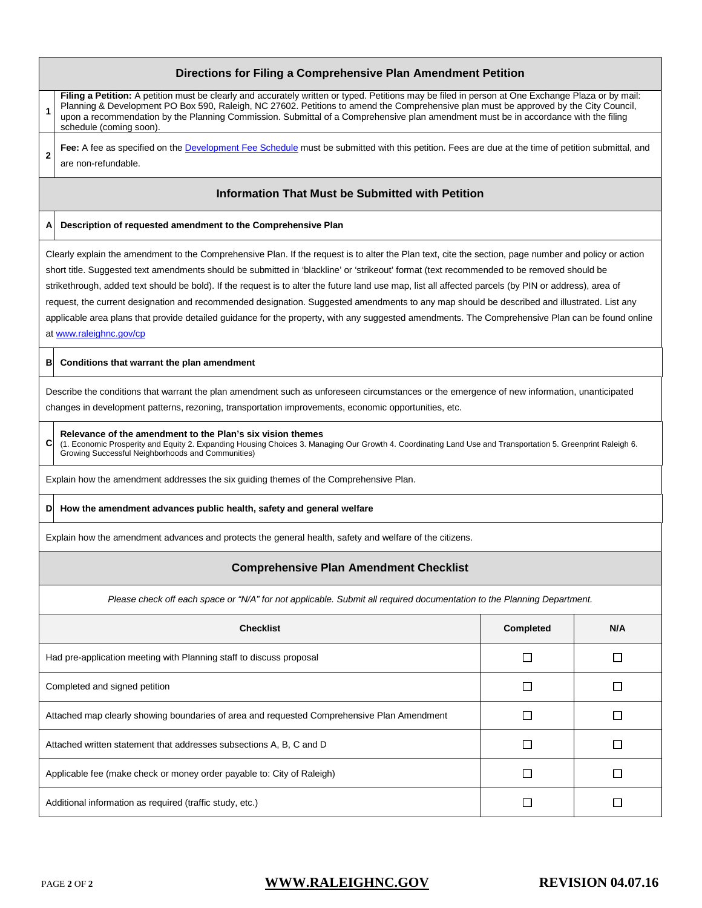## **Directions for Filing a Comprehensive Plan Amendment Petition**

**1 Filing a Petition:** A petition must be clearly and accurately written or typed. Petitions may be filed in person at One Exchange Plaza or by mail: Planning & Development PO Box 590, Raleigh, NC 27602. Petitions to amend the Comprehensive plan must be approved by the City Council, upon a recommendation by the Planning Commission. Submittal of a Comprehensive plan amendment must be in accordance with the filing schedule (coming soon).

**2** Fee: A fee as specified on th[e Development Fee Schedule](http://www.raleighnc.gov/content/extra/Books/PlanDev/DevelopmentFeeSchedule/) must be submitted with this petition. Fees are due at the time of petition submittal, and are non-refundable.

### **Information That Must be Submitted with Petition**

#### **A Description of requested amendment to the Comprehensive Plan**

Clearly explain the amendment to the Comprehensive Plan. If the request is to alter the Plan text, cite the section, page number and policy or action short title. Suggested text amendments should be submitted in 'blackline' or 'strikeout' format (text recommended to be removed should be strikethrough, added text should be bold). If the request is to alter the future land use map, list all affected parcels (by PIN or address), area of request, the current designation and recommended designation. Suggested amendments to any map should be described and illustrated. List any applicable area plans that provide detailed guidance for the property, with any suggested amendments. The Comprehensive Plan can be found online at [www.raleighnc.gov/cp](http://www.raleighnc.gov/cp)

#### **B Conditions that warrant the plan amendment**

Describe the conditions that warrant the plan amendment such as unforeseen circumstances or the emergence of new information, unanticipated changes in development patterns, rezoning, transportation improvements, economic opportunities, etc.

**Relevance of the amendment to the Plan's six vision themes**

**C** (1. Economic Prosperity and Equity 2. Expanding Housing Choices 3. Managing Our Growth 4. Coordinating Land Use and Transportation 5. Greenprint Raleigh 6. Growing Successful Neighborhoods and Communities)

Explain how the amendment addresses the six guiding themes of the Comprehensive Plan.

#### **D How the amendment advances public health, safety and general welfare**

Explain how the amendment advances and protects the general health, safety and welfare of the citizens.

## **Comprehensive Plan Amendment Checklist**

*Please check off each space or "N/A" for not applicable. Submit all required documentation to the Planning Department.*

| <b>Checklist</b>                                                                           | Completed | N/A |
|--------------------------------------------------------------------------------------------|-----------|-----|
| Had pre-application meeting with Planning staff to discuss proposal                        |           |     |
| Completed and signed petition                                                              |           |     |
| Attached map clearly showing boundaries of area and requested Comprehensive Plan Amendment |           |     |
| Attached written statement that addresses subsections A, B, C and D                        |           |     |
| Applicable fee (make check or money order payable to: City of Raleigh)                     |           |     |
| Additional information as required (traffic study, etc.)                                   |           |     |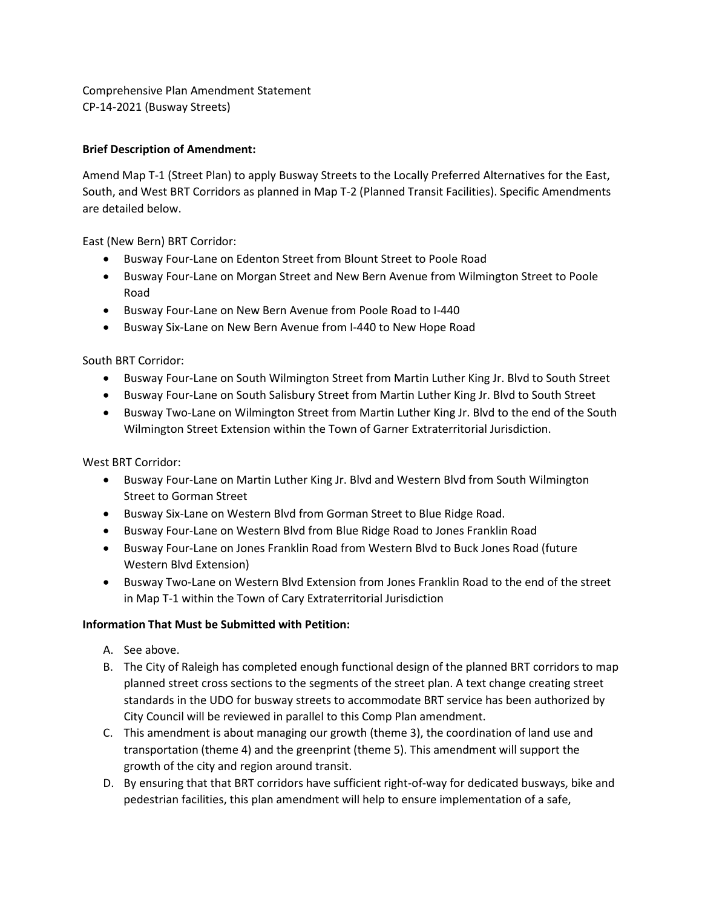Comprehensive Plan Amendment Statement CP-14-2021 (Busway Streets)

# **Brief Description of Amendment:**

Amend Map T-1 (Street Plan) to apply Busway Streets to the Locally Preferred Alternatives for the East, South, and West BRT Corridors as planned in Map T-2 (Planned Transit Facilities). Specific Amendments are detailed below.

East (New Bern) BRT Corridor:

- Busway Four-Lane on Edenton Street from Blount Street to Poole Road
- Busway Four-Lane on Morgan Street and New Bern Avenue from Wilmington Street to Poole Road
- Busway Four-Lane on New Bern Avenue from Poole Road to I-440
- Busway Six-Lane on New Bern Avenue from I-440 to New Hope Road

South BRT Corridor:

- Busway Four-Lane on South Wilmington Street from Martin Luther King Jr. Blvd to South Street
- Busway Four-Lane on South Salisbury Street from Martin Luther King Jr. Blvd to South Street
- Busway Two-Lane on Wilmington Street from Martin Luther King Jr. Blvd to the end of the South Wilmington Street Extension within the Town of Garner Extraterritorial Jurisdiction.

West BRT Corridor:

- Busway Four-Lane on Martin Luther King Jr. Blvd and Western Blvd from South Wilmington Street to Gorman Street
- Busway Six-Lane on Western Blvd from Gorman Street to Blue Ridge Road.
- Busway Four-Lane on Western Blvd from Blue Ridge Road to Jones Franklin Road
- Busway Four-Lane on Jones Franklin Road from Western Blvd to Buck Jones Road (future Western Blvd Extension)
- Busway Two-Lane on Western Blvd Extension from Jones Franklin Road to the end of the street in Map T-1 within the Town of Cary Extraterritorial Jurisdiction

# **Information That Must be Submitted with Petition:**

- A. See above.
- B. The City of Raleigh has completed enough functional design of the planned BRT corridors to map planned street cross sections to the segments of the street plan. A text change creating street standards in the UDO for busway streets to accommodate BRT service has been authorized by City Council will be reviewed in parallel to this Comp Plan amendment.
- C. This amendment is about managing our growth (theme 3), the coordination of land use and transportation (theme 4) and the greenprint (theme 5). This amendment will support the growth of the city and region around transit.
- D. By ensuring that that BRT corridors have sufficient right-of-way for dedicated busways, bike and pedestrian facilities, this plan amendment will help to ensure implementation of a safe,